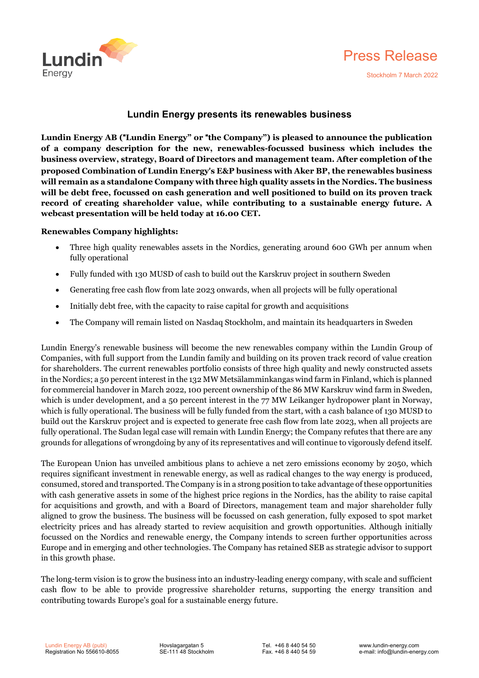



# **Lundin Energy presents its renewables business**

**Lundin Energy AB (**"**Lundin Energy" or** "**the Company") is pleased to announce the publication of a company description for the new, renewables-focussed business which includes the business overview, strategy, Board of Directors and management team. After completion of the proposed Combination of Lundin Energy**'**s E&P business with Aker BP, the renewables business will remain as a standalone Company with three high quality assets in the Nordics. The business will be debt free, focussed on cash generation and well positioned to build on its proven track record of creating shareholder value, while contributing to a sustainable energy future. A webcast presentation will be held today at 16.00 CET.**

### **Renewables Company highlights:**

- Three high quality renewables assets in the Nordics, generating around 600 GWh per annum when fully operational
- Fully funded with 130 MUSD of cash to build out the Karskruv project in southern Sweden
- Generating free cash flow from late 2023 onwards, when all projects will be fully operational
- Initially debt free, with the capacity to raise capital for growth and acquisitions
- The Company will remain listed on Nasdaq Stockholm, and maintain its headquarters in Sweden

Lundin Energy's renewable business will become the new renewables company within the Lundin Group of Companies, with full support from the Lundin family and building on its proven track record of value creation for shareholders. The current renewables portfolio consists of three high quality and newly constructed assets in the Nordics; a 50 percent interest in the 132 MW Metsälamminkangas wind farm in Finland, which is planned for commercial handover in March 2022, 100 percent ownership of the 86 MW Karskruv wind farm in Sweden, which is under development, and a 50 percent interest in the 77 MW Leikanger hydropower plant in Norway, which is fully operational. The business will be fully funded from the start, with a cash balance of 130 MUSD to build out the Karskruv project and is expected to generate free cash flow from late 2023, when all projects are fully operational. The Sudan legal case will remain with Lundin Energy; the Company refutes that there are any grounds for allegations of wrongdoing by any of its representatives and will continue to vigorously defend itself.

The European Union has unveiled ambitious plans to achieve a net zero emissions economy by 2050, which requires significant investment in renewable energy, as well as radical changes to the way energy is produced, consumed, stored and transported. The Company is in a strong position to take advantage of these opportunities with cash generative assets in some of the highest price regions in the Nordics, has the ability to raise capital for acquisitions and growth, and with a Board of Directors, management team and major shareholder fully aligned to grow the business. The business will be focussed on cash generation, fully exposed to spot market electricity prices and has already started to review acquisition and growth opportunities. Although initially focussed on the Nordics and renewable energy, the Company intends to screen further opportunities across Europe and in emerging and other technologies. The Company has retained SEB as strategic advisor to support in this growth phase.

The long-term vision is to grow the business into an industry-leading energy company, with scale and sufficient cash flow to be able to provide progressive shareholder returns, supporting the energy transition and contributing towards Europe's goal for a sustainable energy future.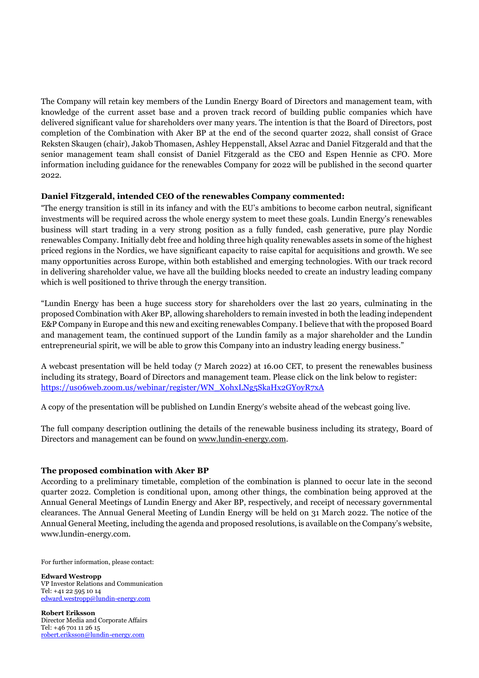The Company will retain key members of the Lundin Energy Board of Directors and management team, with knowledge of the current asset base and a proven track record of building public companies which have delivered significant value for shareholders over many years. The intention is that the Board of Directors, post completion of the Combination with Aker BP at the end of the second quarter 2022, shall consist of Grace Reksten Skaugen (chair), Jakob Thomasen, Ashley Heppenstall, Aksel Azrac and Daniel Fitzgerald and that the senior management team shall consist of Daniel Fitzgerald as the CEO and Espen Hennie as CFO. More information including guidance for the renewables Company for 2022 will be published in the second quarter 2022.

# **Daniel Fitzgerald, intended CEO of the renewables Company commented:**

"The energy transition is still in its infancy and with the EU's ambitions to become carbon neutral, significant investments will be required across the whole energy system to meet these goals. Lundin Energy's renewables business will start trading in a very strong position as a fully funded, cash generative, pure play Nordic renewables Company. Initially debt free and holding three high quality renewables assets in some of the highest priced regions in the Nordics, we have significant capacity to raise capital for acquisitions and growth. We see many opportunities across Europe, within both established and emerging technologies. With our track record in delivering shareholder value, we have all the building blocks needed to create an industry leading company which is well positioned to thrive through the energy transition.

"Lundin Energy has been a huge success story for shareholders over the last 20 years, culminating in the proposed Combination with Aker BP, allowing shareholders to remain invested in both the leading independent E&P Company in Europe and this new and exciting renewables Company.I believe that with the proposed Board and management team, the continued support of the Lundin family as a major shareholder and the Lundin entrepreneurial spirit, we will be able to grow this Company into an industry leading energy business."

A webcast presentation will be held today (7 March 2022) at 16.00 CET, to present the renewables business including its strategy, Board of Directors and management team. Please click on the link below to register: [https://us06web.zoom.us/webinar/register/WN\\_XohxLNg5SkaHx2GYoyR7xA](https://us06web.zoom.us/webinar/register/WN_XohxLNg5SkaHx2GYoyR7xA)

A copy of the presentation will be published on Lundin Energy's website ahead of the webcast going live.

The full company description outlining the details of the renewable business including its strategy, Board of Directors and management can be found on [www.lundin-energy.com.](http://www.lundin-energy.com/)

## **The proposed combination with Aker BP**

According to a preliminary timetable, completion of the combination is planned to occur late in the second quarter 2022. Completion is conditional upon, among other things, the combination being approved at the Annual General Meetings of Lundin Energy and Aker BP, respectively, and receipt of necessary governmental clearances. The Annual General Meeting of Lundin Energy will be held on 31 March 2022. The notice of the Annual General Meeting, including the agenda and proposed resolutions, is available on the Company's website, www.lundin-energy.com.

For further information, please contact:

**Edward Westropp** VP Investor Relations and Communication Tel: +41 22 595 10 14 [edward.westropp@lundin-energy.com](mailto:edward.westropp@lundin-energy.com)

**Robert Eriksson** Director Media and Corporate Affairs Tel: +46 701 11 26 15 [robert.eriksson@lundin-energy.com](mailto:robert.eriksson@lundin-energy.com)